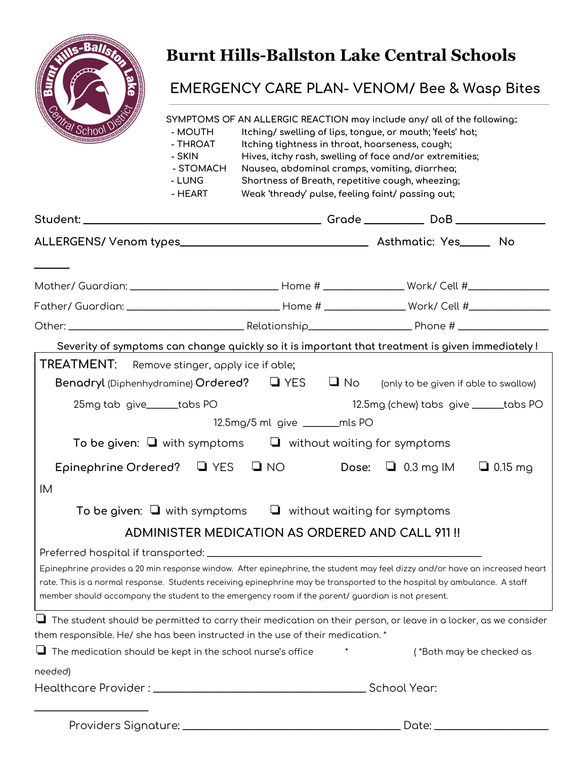

## **Burnt Hills-Ballston Lake Central Schools**

## **EMERGENCY CARE PLAN- VENOM/ Bee & Wasp Bites**

| <b>Altal School</b>                                                                                                                                                                                                                                                                                                                                         | - MOUTH<br>- THROAT<br>- SKIN<br>- STOMACH<br>- LUNG<br>- HEART | SYMPTOMS OF AN ALLERGIC REACTION may include any/ all of the following::<br>Itching/ swelling of lips, tongue, or mouth; 'feels' hot;<br>Itching tightness in throat, hoarseness, cough;<br>Hives, itchy rash, swelling of face and/or extremities;<br>Nausea, abdominal cramps, vomiting, diarrhea;<br>Shortness of Breath, repetitive cough, wheezing;<br>Weak 'thready' pulse, feeling faint/ passing out; |  |                                                |                          |
|-------------------------------------------------------------------------------------------------------------------------------------------------------------------------------------------------------------------------------------------------------------------------------------------------------------------------------------------------------------|-----------------------------------------------------------------|---------------------------------------------------------------------------------------------------------------------------------------------------------------------------------------------------------------------------------------------------------------------------------------------------------------------------------------------------------------------------------------------------------------|--|------------------------------------------------|--------------------------|
|                                                                                                                                                                                                                                                                                                                                                             |                                                                 |                                                                                                                                                                                                                                                                                                                                                                                                               |  |                                                |                          |
|                                                                                                                                                                                                                                                                                                                                                             |                                                                 |                                                                                                                                                                                                                                                                                                                                                                                                               |  |                                                |                          |
| Mother/ Guardian: ___________________________________Home # ____________________Work/ Cell #_________________                                                                                                                                                                                                                                               |                                                                 |                                                                                                                                                                                                                                                                                                                                                                                                               |  |                                                |                          |
| Father/ Guardian: ___________________________________Home # ____________________Work/ Cell #__________________                                                                                                                                                                                                                                              |                                                                 |                                                                                                                                                                                                                                                                                                                                                                                                               |  |                                                |                          |
|                                                                                                                                                                                                                                                                                                                                                             |                                                                 |                                                                                                                                                                                                                                                                                                                                                                                                               |  |                                                |                          |
| Severity of symptoms can change quickly so it is important that treatment is given immediately !                                                                                                                                                                                                                                                            |                                                                 |                                                                                                                                                                                                                                                                                                                                                                                                               |  |                                                |                          |
| TREATMENT: Remove stinger, apply ice if able;<br><b>Benadryl</b> (Diphenhydramine) $Ordered$ ? $\Box$ YES $\Box$ No (only to be given if able to swallow)<br>25mg tab give______tabs PO                                                                                                                                                                     |                                                                 | 12.5mg/5 ml give ________mls PO                                                                                                                                                                                                                                                                                                                                                                               |  | 12.5mg (chew) tabs give ______tabs PO          |                          |
|                                                                                                                                                                                                                                                                                                                                                             |                                                                 | To be given: $\Box$ with symptoms $\Box$ without waiting for symptoms                                                                                                                                                                                                                                                                                                                                         |  |                                                |                          |
| Epinephrine Ordered? $\Box$ YES $\Box$ NO                                                                                                                                                                                                                                                                                                                   |                                                                 |                                                                                                                                                                                                                                                                                                                                                                                                               |  | Dose: $\Box$ 0.3 mg IM                         | $\Box$ 0.15 mg           |
| IM                                                                                                                                                                                                                                                                                                                                                          |                                                                 |                                                                                                                                                                                                                                                                                                                                                                                                               |  |                                                |                          |
|                                                                                                                                                                                                                                                                                                                                                             |                                                                 | To be given: $\Box$ with symptoms $\Box$ without waiting for symptoms                                                                                                                                                                                                                                                                                                                                         |  |                                                |                          |
|                                                                                                                                                                                                                                                                                                                                                             |                                                                 |                                                                                                                                                                                                                                                                                                                                                                                                               |  | ADMINISTER MEDICATION AS ORDERED AND CALL 911! |                          |
| Epinephrine provides a 20 min response window. After epinephrine, the student may feel dizzy and/or have an increased heart<br>rate. This is a normal response. Students receiving epinephrine may be transported to the hospital by ambulance. A staff<br>member should accompany the student to the emergency room if the parent/guardian is not present. |                                                                 |                                                                                                                                                                                                                                                                                                                                                                                                               |  |                                                |                          |
| $\Box$ The student should be permitted to carry their medication on their person, or leave in a locker, as we consider                                                                                                                                                                                                                                      |                                                                 |                                                                                                                                                                                                                                                                                                                                                                                                               |  |                                                |                          |
| them responsible. He/ she has been instructed in the use of their medication. *                                                                                                                                                                                                                                                                             |                                                                 |                                                                                                                                                                                                                                                                                                                                                                                                               |  |                                                |                          |
| $\Box$ The medication should be kept in the school nurse's office                                                                                                                                                                                                                                                                                           |                                                                 |                                                                                                                                                                                                                                                                                                                                                                                                               |  |                                                | (*Both may be checked as |
| needed)                                                                                                                                                                                                                                                                                                                                                     |                                                                 |                                                                                                                                                                                                                                                                                                                                                                                                               |  |                                                |                          |
|                                                                                                                                                                                                                                                                                                                                                             |                                                                 |                                                                                                                                                                                                                                                                                                                                                                                                               |  | School Year:                                   |                          |
|                                                                                                                                                                                                                                                                                                                                                             |                                                                 |                                                                                                                                                                                                                                                                                                                                                                                                               |  | $Date:$ $\_\_$                                 |                          |